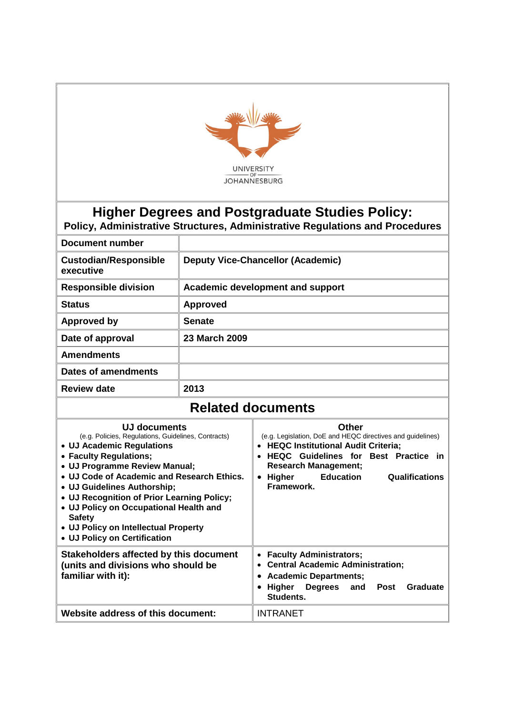

## **Higher Degrees and Postgraduate Studies Policy:**

**Policy, Administrative Structures, Administrative Regulations and Procedures**

| Document number                           |                                          |
|-------------------------------------------|------------------------------------------|
| <b>Custodian/Responsible</b><br>executive | <b>Deputy Vice-Chancellor (Academic)</b> |
| <b>Responsible division</b>               | Academic development and support         |
| <b>Status</b>                             | <b>Approved</b>                          |
| <b>Approved by</b>                        | <b>Senate</b>                            |
| Date of approval                          | 23 March 2009                            |
| <b>Amendments</b>                         |                                          |
| Dates of amendments                       |                                          |
| <b>Review date</b>                        | 2013                                     |

## **Related documents**

| UJ documents<br>(e.g. Policies, Regulations, Guidelines, Contracts)<br>• UJ Academic Regulations<br>• Faculty Regulations;<br>• UJ Programme Review Manual;<br>• UJ Code of Academic and Research Ethics.<br>• UJ Guidelines Authorship;<br>• UJ Recognition of Prior Learning Policy;<br>• UJ Policy on Occupational Health and<br><b>Safety</b><br>• UJ Policy on Intellectual Property<br>• UJ Policy on Certification | Other<br>(e.g. Legislation, DoE and HEQC directives and guidelines)<br><b>HEQC Institutional Audit Criteria;</b><br><b>HEQC</b> Guidelines for Best Practice in<br><b>Research Management;</b><br><b>Education</b><br><b>Qualifications</b><br>Higher<br>$\bullet$<br>Framework. |
|---------------------------------------------------------------------------------------------------------------------------------------------------------------------------------------------------------------------------------------------------------------------------------------------------------------------------------------------------------------------------------------------------------------------------|----------------------------------------------------------------------------------------------------------------------------------------------------------------------------------------------------------------------------------------------------------------------------------|
| Stakeholders affected by this document<br>(units and divisions who should be<br>familiar with it):                                                                                                                                                                                                                                                                                                                        | <b>Faculty Administrators;</b><br>$\bullet$<br><b>Central Academic Administration;</b><br>$\bullet$<br><b>Academic Departments;</b><br>٠<br>Higher Degrees and<br>Post<br>Graduate<br>$\bullet$<br>Students.                                                                     |
| Website address of this document:                                                                                                                                                                                                                                                                                                                                                                                         | <b>INTRANET</b>                                                                                                                                                                                                                                                                  |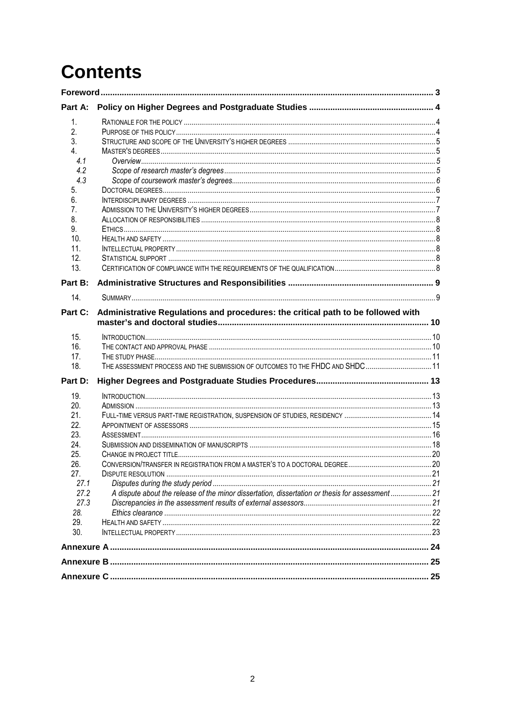# **Contents**

| Part A: |                                                                                                  |  |
|---------|--------------------------------------------------------------------------------------------------|--|
| 1.      |                                                                                                  |  |
| 2.      |                                                                                                  |  |
| 3.      |                                                                                                  |  |
| 4       |                                                                                                  |  |
| 4.1     |                                                                                                  |  |
| 4.2     |                                                                                                  |  |
| 4.3     |                                                                                                  |  |
| 5.      |                                                                                                  |  |
| 6.      |                                                                                                  |  |
| 7.      |                                                                                                  |  |
| 8.      |                                                                                                  |  |
| 9.      |                                                                                                  |  |
| 10.     |                                                                                                  |  |
| 11.     |                                                                                                  |  |
| 12.     |                                                                                                  |  |
| 13.     |                                                                                                  |  |
| Part B: |                                                                                                  |  |
| 14.     |                                                                                                  |  |
| Part C: | Administrative Regulations and procedures: the critical path to be followed with                 |  |
| 15.     |                                                                                                  |  |
| 16.     |                                                                                                  |  |
| 17.     |                                                                                                  |  |
| 18.     | THE ASSESSMENT PROCESS AND THE SUBMISSION OF OUTCOMES TO THE FHDC AND SHDC 11                    |  |
| Part D: |                                                                                                  |  |
| 19.     |                                                                                                  |  |
| 20.     |                                                                                                  |  |
| 21.     |                                                                                                  |  |
| 22.     |                                                                                                  |  |
| 23.     |                                                                                                  |  |
| 24.     |                                                                                                  |  |
| 25.     |                                                                                                  |  |
| 26.     |                                                                                                  |  |
| 27.     |                                                                                                  |  |
| 27.1    |                                                                                                  |  |
| 27.2    | A dispute about the release of the minor dissertation, dissertation or thesis for assessment  21 |  |
| 27.3    |                                                                                                  |  |
| 28.     |                                                                                                  |  |
| 29.     |                                                                                                  |  |
| 30.     |                                                                                                  |  |
|         |                                                                                                  |  |
|         |                                                                                                  |  |
|         |                                                                                                  |  |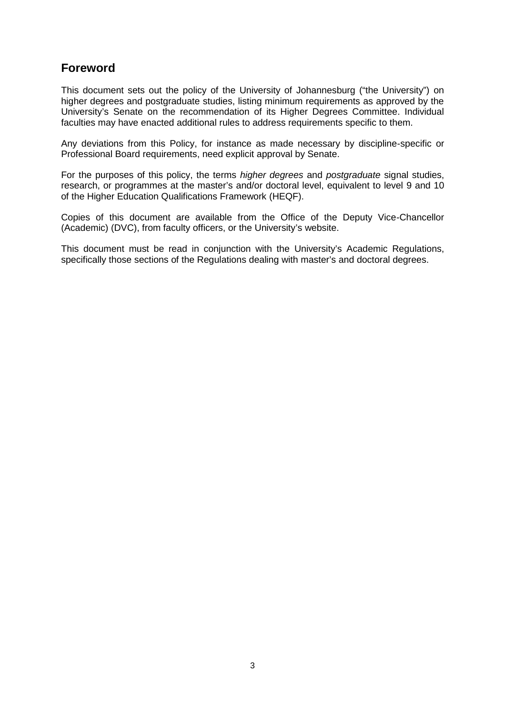### **Foreword**

This document sets out the policy of the University of Johannesburg ("the University") on higher degrees and postgraduate studies, listing minimum requirements as approved by the University's Senate on the recommendation of its Higher Degrees Committee. Individual faculties may have enacted additional rules to address requirements specific to them.

Any deviations from this Policy, for instance as made necessary by discipline-specific or Professional Board requirements, need explicit approval by Senate.

For the purposes of this policy, the terms *higher degrees* and *postgraduate* signal studies, research, or programmes at the master's and/or doctoral level, equivalent to level 9 and 10 of the Higher Education Qualifications Framework (HEQF).

Copies of this document are available from the Office of the Deputy Vice-Chancellor (Academic) (DVC), from faculty officers, or the University's website.

This document must be read in conjunction with the University's Academic Regulations, specifically those sections of the Regulations dealing with master's and doctoral degrees.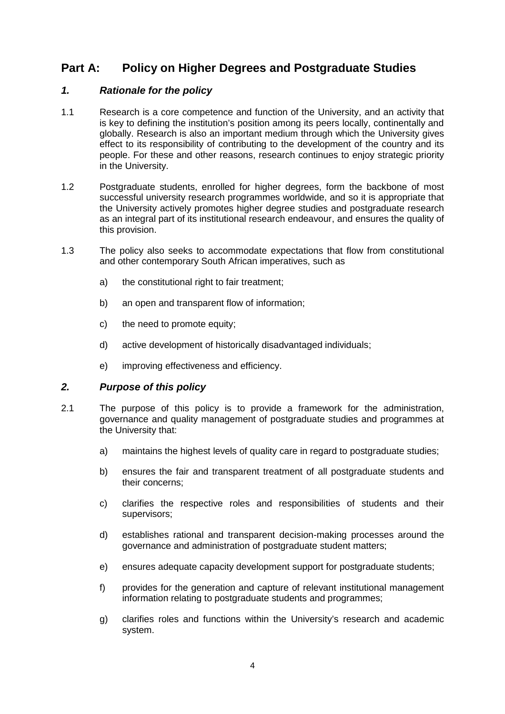### **Part A: Policy on Higher Degrees and Postgraduate Studies**

### *1. Rationale for the policy*

- 1.1 Research is a core competence and function of the University, and an activity that is key to defining the institution's position among its peers locally, continentally and globally. Research is also an important medium through which the University gives effect to its responsibility of contributing to the development of the country and its people. For these and other reasons, research continues to enjoy strategic priority in the University.
- 1.2 Postgraduate students, enrolled for higher degrees, form the backbone of most successful university research programmes worldwide, and so it is appropriate that the University actively promotes higher degree studies and postgraduate research as an integral part of its institutional research endeavour, and ensures the quality of this provision.
- 1.3 The policy also seeks to accommodate expectations that flow from constitutional and other contemporary South African imperatives, such as
	- a) the constitutional right to fair treatment;
	- b) an open and transparent flow of information;
	- c) the need to promote equity;
	- d) active development of historically disadvantaged individuals;
	- e) improving effectiveness and efficiency.

### *2. Purpose of this policy*

- 2.1 The purpose of this policy is to provide a framework for the administration, governance and quality management of postgraduate studies and programmes at the University that:
	- a) maintains the highest levels of quality care in regard to postgraduate studies:
	- b) ensures the fair and transparent treatment of all postgraduate students and their concerns;
	- c) clarifies the respective roles and responsibilities of students and their supervisors;
	- d) establishes rational and transparent decision-making processes around the governance and administration of postgraduate student matters;
	- e) ensures adequate capacity development support for postgraduate students;
	- f) provides for the generation and capture of relevant institutional management information relating to postgraduate students and programmes;
	- g) clarifies roles and functions within the University's research and academic system.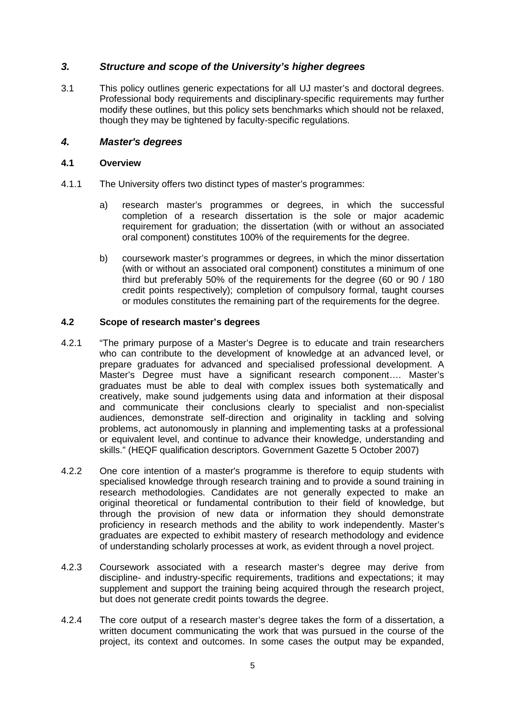### *3. Structure and scope of the University's higher degrees*

3.1 This policy outlines generic expectations for all UJ master's and doctoral degrees. Professional body requirements and disciplinary-specific requirements may further modify these outlines, but this policy sets benchmarks which should not be relaxed, though they may be tightened by faculty-specific regulations.

### *4. Master's degrees*

### **4.1 Overview**

- 4.1.1 The University offers two distinct types of master's programmes:
	- a) research master's programmes or degrees, in which the successful completion of a research dissertation is the sole or major academic requirement for graduation; the dissertation (with or without an associated oral component) constitutes 100% of the requirements for the degree.
	- b) coursework master's programmes or degrees, in which the minor dissertation (with or without an associated oral component) constitutes a minimum of one third but preferably 50% of the requirements for the degree (60 or 90 / 180 credit points respectively); completion of compulsory formal, taught courses or modules constitutes the remaining part of the requirements for the degree.

### **4.2 Scope of research master's degrees**

- 4.2.1 "The primary purpose of a Master's Degree is to educate and train researchers who can contribute to the development of knowledge at an advanced level, or prepare graduates for advanced and specialised professional development. A Master's Degree must have a significant research component…. Master's graduates must be able to deal with complex issues both systematically and creatively, make sound judgements using data and information at their disposal and communicate their conclusions clearly to specialist and non-specialist audiences, demonstrate self-direction and originality in tackling and solving problems, act autonomously in planning and implementing tasks at a professional or equivalent level, and continue to advance their knowledge, understanding and skills." (HEQF qualification descriptors. Government Gazette 5 October 2007)
- 4.2.2 One core intention of a master's programme is therefore to equip students with specialised knowledge through research training and to provide a sound training in research methodologies. Candidates are not generally expected to make an original theoretical or fundamental contribution to their field of knowledge, but through the provision of new data or information they should demonstrate proficiency in research methods and the ability to work independently. Master's graduates are expected to exhibit mastery of research methodology and evidence of understanding scholarly processes at work, as evident through a novel project.
- 4.2.3 Coursework associated with a research master's degree may derive from discipline- and industry-specific requirements, traditions and expectations; it may supplement and support the training being acquired through the research project, but does not generate credit points towards the degree.
- 4.2.4 The core output of a research master's degree takes the form of a dissertation, a written document communicating the work that was pursued in the course of the project, its context and outcomes. In some cases the output may be expanded,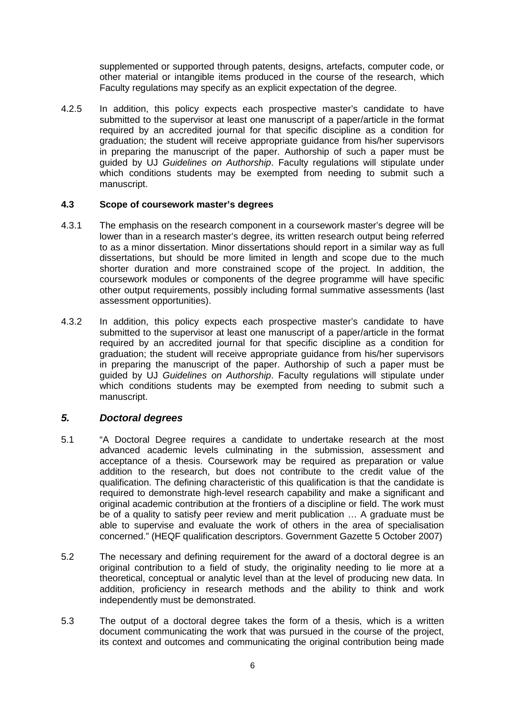supplemented or supported through patents, designs, artefacts, computer code, or other material or intangible items produced in the course of the research, which Faculty regulations may specify as an explicit expectation of the degree.

4.2.5 In addition, this policy expects each prospective master's candidate to have submitted to the supervisor at least one manuscript of a paper/article in the format required by an accredited journal for that specific discipline as a condition for graduation; the student will receive appropriate guidance from his/her supervisors in preparing the manuscript of the paper. Authorship of such a paper must be guided by UJ *Guidelines on Authorship*. Faculty regulations will stipulate under which conditions students may be exempted from needing to submit such a manuscript.

### **4.3 Scope of coursework master's degrees**

- 4.3.1 The emphasis on the research component in a coursework master's degree will be lower than in a research master's degree, its written research output being referred to as a minor dissertation. Minor dissertations should report in a similar way as full dissertations, but should be more limited in length and scope due to the much shorter duration and more constrained scope of the project. In addition, the coursework modules or components of the degree programme will have specific other output requirements, possibly including formal summative assessments (last assessment opportunities).
- 4.3.2 In addition, this policy expects each prospective master's candidate to have submitted to the supervisor at least one manuscript of a paper/article in the format required by an accredited journal for that specific discipline as a condition for graduation; the student will receive appropriate guidance from his/her supervisors in preparing the manuscript of the paper. Authorship of such a paper must be guided by UJ *Guidelines on Authorship*. Faculty regulations will stipulate under which conditions students may be exempted from needing to submit such a manuscript.

### *5. Doctoral degrees*

- 5.1 "A Doctoral Degree requires a candidate to undertake research at the most advanced academic levels culminating in the submission, assessment and acceptance of a thesis. Coursework may be required as preparation or value addition to the research, but does not contribute to the credit value of the qualification. The defining characteristic of this qualification is that the candidate is required to demonstrate high-level research capability and make a significant and original academic contribution at the frontiers of a discipline or field. The work must be of a quality to satisfy peer review and merit publication … A graduate must be able to supervise and evaluate the work of others in the area of specialisation concerned." (HEQF qualification descriptors. Government Gazette 5 October 2007)
- 5.2 The necessary and defining requirement for the award of a doctoral degree is an original contribution to a field of study, the originality needing to lie more at a theoretical, conceptual or analytic level than at the level of producing new data. In addition, proficiency in research methods and the ability to think and work independently must be demonstrated.
- 5.3 The output of a doctoral degree takes the form of a thesis, which is a written document communicating the work that was pursued in the course of the project, its context and outcomes and communicating the original contribution being made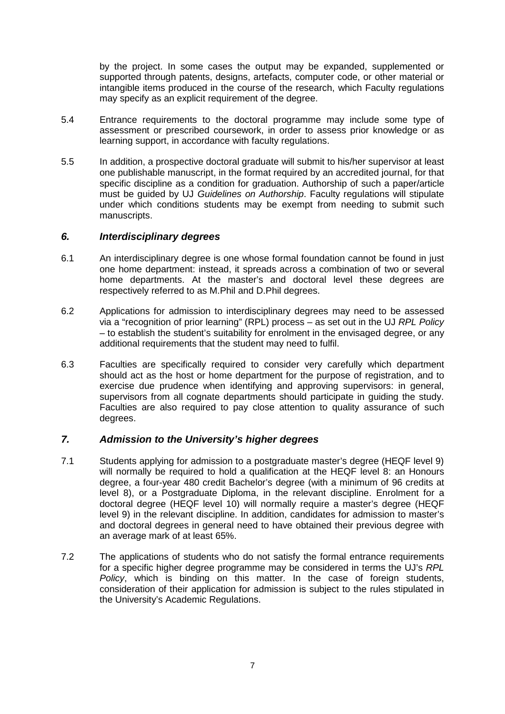by the project. In some cases the output may be expanded, supplemented or supported through patents, designs, artefacts, computer code, or other material or intangible items produced in the course of the research, which Faculty regulations may specify as an explicit requirement of the degree.

- 5.4 Entrance requirements to the doctoral programme may include some type of assessment or prescribed coursework, in order to assess prior knowledge or as learning support, in accordance with faculty regulations.
- 5.5 In addition, a prospective doctoral graduate will submit to his/her supervisor at least one publishable manuscript, in the format required by an accredited journal, for that specific discipline as a condition for graduation. Authorship of such a paper/article must be guided by UJ *Guidelines on Authorship*. Faculty regulations will stipulate under which conditions students may be exempt from needing to submit such manuscripts.

### *6. Interdisciplinary degrees*

- 6.1 An interdisciplinary degree is one whose formal foundation cannot be found in just one home department: instead, it spreads across a combination of two or several home departments. At the master's and doctoral level these degrees are respectively referred to as M.Phil and D.Phil degrees.
- 6.2 Applications for admission to interdisciplinary degrees may need to be assessed via a "recognition of prior learning" (RPL) process – as set out in the UJ *RPL Policy* – to establish the student's suitability for enrolment in the envisaged degree, or any additional requirements that the student may need to fulfil.
- 6.3 Faculties are specifically required to consider very carefully which department should act as the host or home department for the purpose of registration, and to exercise due prudence when identifying and approving supervisors: in general, supervisors from all cognate departments should participate in guiding the study. Faculties are also required to pay close attention to quality assurance of such degrees.

### *7. Admission to the University's higher degrees*

- 7.1 Students applying for admission to a postgraduate master's degree (HEQF level 9) will normally be required to hold a qualification at the HEQF level 8: an Honours degree, a four-year 480 credit Bachelor's degree (with a minimum of 96 credits at level 8), or a Postgraduate Diploma, in the relevant discipline. Enrolment for a doctoral degree (HEQF level 10) will normally require a master's degree (HEQF level 9) in the relevant discipline. In addition, candidates for admission to master's and doctoral degrees in general need to have obtained their previous degree with an average mark of at least 65%.
- 7.2 The applications of students who do not satisfy the formal entrance requirements for a specific higher degree programme may be considered in terms the UJ's *RPL Policy*, which is binding on this matter. In the case of foreign students, consideration of their application for admission is subject to the rules stipulated in the University's Academic Regulations.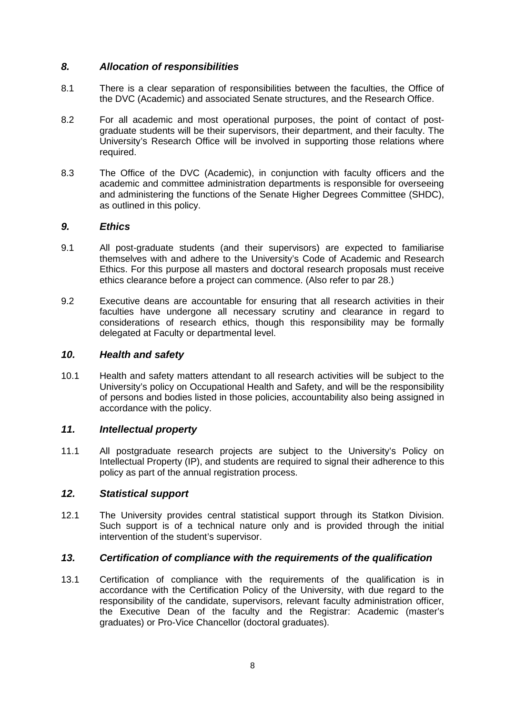### *8. Allocation of responsibilities*

- 8.1 There is a clear separation of responsibilities between the faculties, the Office of the DVC (Academic) and associated Senate structures, and the Research Office.
- 8.2 For all academic and most operational purposes, the point of contact of postgraduate students will be their supervisors, their department, and their faculty. The University's Research Office will be involved in supporting those relations where required.
- 8.3 The Office of the DVC (Academic), in conjunction with faculty officers and the academic and committee administration departments is responsible for overseeing and administering the functions of the Senate Higher Degrees Committee (SHDC), as outlined in this policy.

### *9. Ethics*

- 9.1 All post-graduate students (and their supervisors) are expected to familiarise themselves with and adhere to the University's Code of Academic and Research Ethics. For this purpose all masters and doctoral research proposals must receive ethics clearance before a project can commence. (Also refer to par 28.)
- 9.2 Executive deans are accountable for ensuring that all research activities in their faculties have undergone all necessary scrutiny and clearance in regard to considerations of research ethics, though this responsibility may be formally delegated at Faculty or departmental level.

### *10. Health and safety*

10.1 Health and safety matters attendant to all research activities will be subject to the University's policy on Occupational Health and Safety, and will be the responsibility of persons and bodies listed in those policies, accountability also being assigned in accordance with the policy.

### *11. Intellectual property*

11.1 All postgraduate research projects are subject to the University's Policy on Intellectual Property (IP), and students are required to signal their adherence to this policy as part of the annual registration process.

### *12. Statistical support*

12.1 The University provides central statistical support through its Statkon Division. Such support is of a technical nature only and is provided through the initial intervention of the student's supervisor.

### *13. Certification of compliance with the requirements of the qualification*

13.1 Certification of compliance with the requirements of the qualification is in accordance with the Certification Policy of the University, with due regard to the responsibility of the candidate, supervisors, relevant faculty administration officer, the Executive Dean of the faculty and the Registrar: Academic (master's graduates) or Pro-Vice Chancellor (doctoral graduates).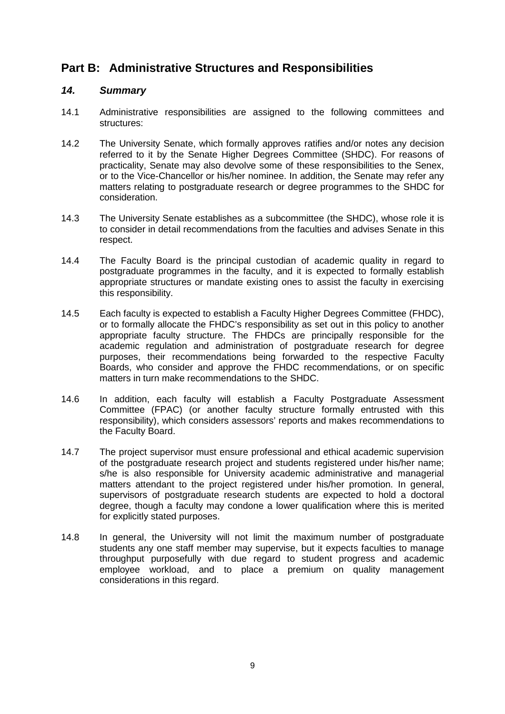### **Part B: Administrative Structures and Responsibilities**

### *14. Summary*

- 14.1 Administrative responsibilities are assigned to the following committees and structures:
- 14.2 The University Senate, which formally approves ratifies and/or notes any decision referred to it by the Senate Higher Degrees Committee (SHDC). For reasons of practicality, Senate may also devolve some of these responsibilities to the Senex, or to the Vice-Chancellor or his/her nominee. In addition, the Senate may refer any matters relating to postgraduate research or degree programmes to the SHDC for consideration.
- 14.3 The University Senate establishes as a subcommittee (the SHDC), whose role it is to consider in detail recommendations from the faculties and advises Senate in this respect.
- 14.4 The Faculty Board is the principal custodian of academic quality in regard to postgraduate programmes in the faculty, and it is expected to formally establish appropriate structures or mandate existing ones to assist the faculty in exercising this responsibility.
- 14.5 Each faculty is expected to establish a Faculty Higher Degrees Committee (FHDC), or to formally allocate the FHDC's responsibility as set out in this policy to another appropriate faculty structure. The FHDCs are principally responsible for the academic regulation and administration of postgraduate research for degree purposes, their recommendations being forwarded to the respective Faculty Boards, who consider and approve the FHDC recommendations, or on specific matters in turn make recommendations to the SHDC.
- 14.6 In addition, each faculty will establish a Faculty Postgraduate Assessment Committee (FPAC) (or another faculty structure formally entrusted with this responsibility), which considers assessors' reports and makes recommendations to the Faculty Board.
- 14.7 The project supervisor must ensure professional and ethical academic supervision of the postgraduate research project and students registered under his/her name; s/he is also responsible for University academic administrative and managerial matters attendant to the project registered under his/her promotion. In general, supervisors of postgraduate research students are expected to hold a doctoral degree, though a faculty may condone a lower qualification where this is merited for explicitly stated purposes.
- 14.8 In general, the University will not limit the maximum number of postgraduate students any one staff member may supervise, but it expects faculties to manage throughput purposefully with due regard to student progress and academic employee workload, and to place a premium on quality management considerations in this regard.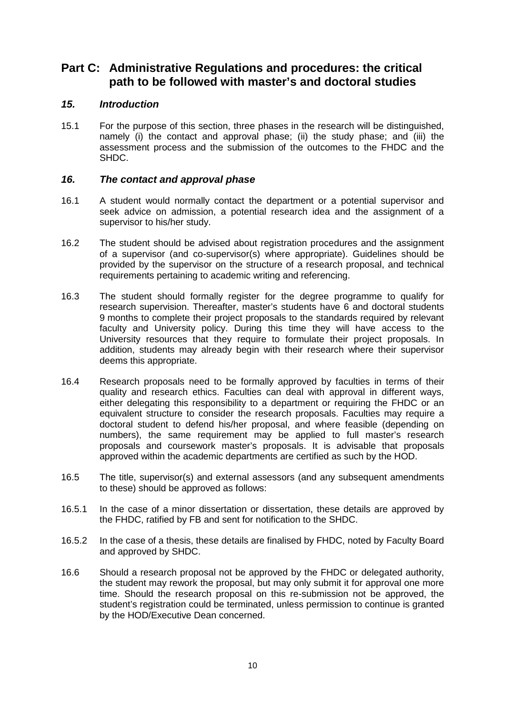### **Part C: Administrative Regulations and procedures: the critical path to be followed with master's and doctoral studies**

### *15. Introduction*

15.1 For the purpose of this section, three phases in the research will be distinguished, namely (i) the contact and approval phase; (ii) the study phase; and (iii) the assessment process and the submission of the outcomes to the FHDC and the SHDC.

### *16. The contact and approval phase*

- 16.1 A student would normally contact the department or a potential supervisor and seek advice on admission, a potential research idea and the assignment of a supervisor to his/her study.
- 16.2 The student should be advised about registration procedures and the assignment of a supervisor (and co-supervisor(s) where appropriate). Guidelines should be provided by the supervisor on the structure of a research proposal, and technical requirements pertaining to academic writing and referencing.
- 16.3 The student should formally register for the degree programme to qualify for research supervision. Thereafter, master's students have 6 and doctoral students 9 months to complete their project proposals to the standards required by relevant faculty and University policy. During this time they will have access to the University resources that they require to formulate their project proposals. In addition, students may already begin with their research where their supervisor deems this appropriate.
- 16.4 Research proposals need to be formally approved by faculties in terms of their quality and research ethics. Faculties can deal with approval in different ways, either delegating this responsibility to a department or requiring the FHDC or an equivalent structure to consider the research proposals. Faculties may require a doctoral student to defend his/her proposal, and where feasible (depending on numbers), the same requirement may be applied to full master's research proposals and coursework master's proposals. It is advisable that proposals approved within the academic departments are certified as such by the HOD.
- 16.5 The title, supervisor(s) and external assessors (and any subsequent amendments to these) should be approved as follows:
- 16.5.1 In the case of a minor dissertation or dissertation, these details are approved by the FHDC, ratified by FB and sent for notification to the SHDC.
- 16.5.2 In the case of a thesis, these details are finalised by FHDC, noted by Faculty Board and approved by SHDC.
- 16.6 Should a research proposal not be approved by the FHDC or delegated authority, the student may rework the proposal, but may only submit it for approval one more time. Should the research proposal on this re-submission not be approved, the student's registration could be terminated, unless permission to continue is granted by the HOD/Executive Dean concerned.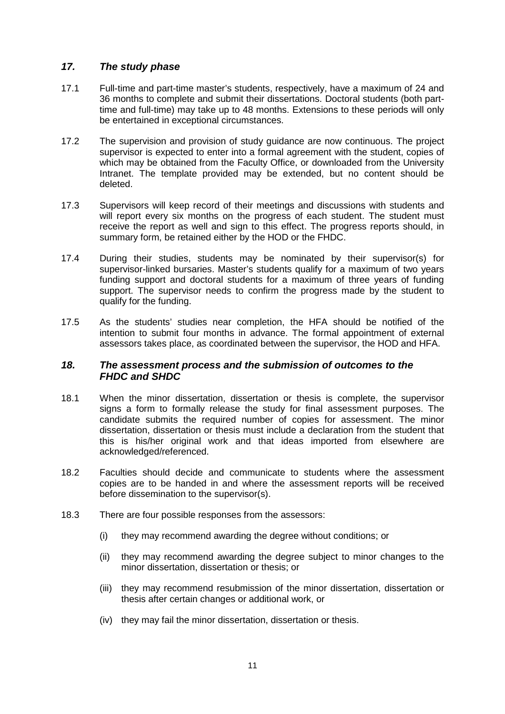### *17. The study phase*

- 17.1 Full-time and part-time master's students, respectively, have a maximum of 24 and 36 months to complete and submit their dissertations. Doctoral students (both parttime and full-time) may take up to 48 months. Extensions to these periods will only be entertained in exceptional circumstances.
- 17.2 The supervision and provision of study guidance are now continuous. The project supervisor is expected to enter into a formal agreement with the student, copies of which may be obtained from the Faculty Office, or downloaded from the University Intranet. The template provided may be extended, but no content should be deleted.
- 17.3 Supervisors will keep record of their meetings and discussions with students and will report every six months on the progress of each student. The student must receive the report as well and sign to this effect. The progress reports should, in summary form, be retained either by the HOD or the FHDC.
- 17.4 During their studies, students may be nominated by their supervisor(s) for supervisor-linked bursaries. Master's students qualify for a maximum of two years funding support and doctoral students for a maximum of three years of funding support. The supervisor needs to confirm the progress made by the student to qualify for the funding.
- 17.5 As the students' studies near completion, the HFA should be notified of the intention to submit four months in advance. The formal appointment of external assessors takes place, as coordinated between the supervisor, the HOD and HFA.

### *18. The assessment process and the submission of outcomes to the FHDC and SHDC*

- 18.1 When the minor dissertation, dissertation or thesis is complete, the supervisor signs a form to formally release the study for final assessment purposes. The candidate submits the required number of copies for assessment. The minor dissertation, dissertation or thesis must include a declaration from the student that this is his/her original work and that ideas imported from elsewhere are acknowledged/referenced.
- 18.2 Faculties should decide and communicate to students where the assessment copies are to be handed in and where the assessment reports will be received before dissemination to the supervisor(s).
- 18.3 There are four possible responses from the assessors:
	- (i) they may recommend awarding the degree without conditions; or
	- (ii) they may recommend awarding the degree subject to minor changes to the minor dissertation, dissertation or thesis; or
	- (iii) they may recommend resubmission of the minor dissertation, dissertation or thesis after certain changes or additional work, or
	- (iv) they may fail the minor dissertation, dissertation or thesis.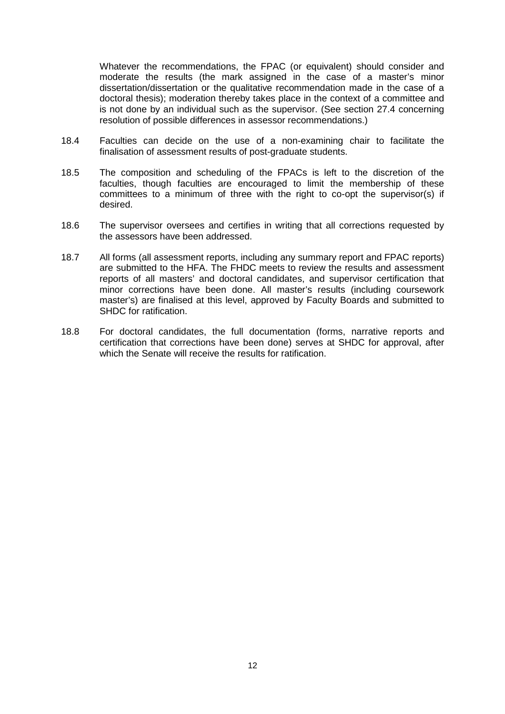Whatever the recommendations, the FPAC (or equivalent) should consider and moderate the results (the mark assigned in the case of a master's minor dissertation/dissertation or the qualitative recommendation made in the case of a doctoral thesis); moderation thereby takes place in the context of a committee and is not done by an individual such as the supervisor. (See section 27.4 concerning resolution of possible differences in assessor recommendations.)

- 18.4 Faculties can decide on the use of a non-examining chair to facilitate the finalisation of assessment results of post-graduate students.
- 18.5 The composition and scheduling of the FPACs is left to the discretion of the faculties, though faculties are encouraged to limit the membership of these committees to a minimum of three with the right to co-opt the supervisor(s) if desired.
- 18.6 The supervisor oversees and certifies in writing that all corrections requested by the assessors have been addressed.
- 18.7 All forms (all assessment reports, including any summary report and FPAC reports) are submitted to the HFA. The FHDC meets to review the results and assessment reports of all masters' and doctoral candidates, and supervisor certification that minor corrections have been done. All master's results (including coursework master's) are finalised at this level, approved by Faculty Boards and submitted to SHDC for ratification.
- 18.8 For doctoral candidates, the full documentation (forms, narrative reports and certification that corrections have been done) serves at SHDC for approval, after which the Senate will receive the results for ratification.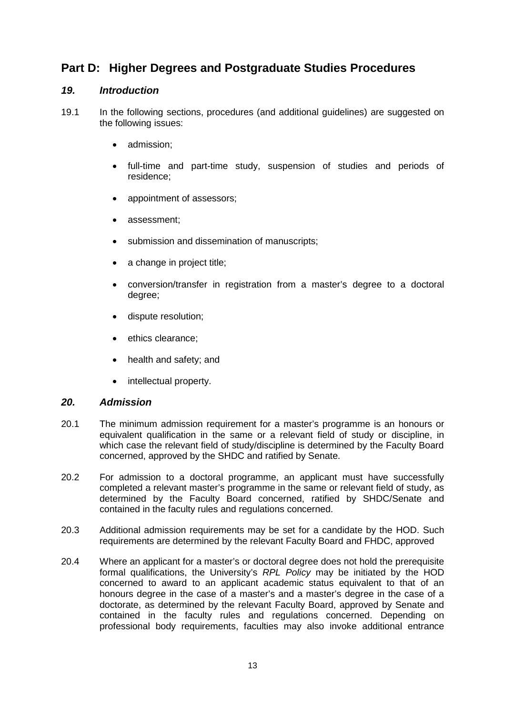### **Part D: Higher Degrees and Postgraduate Studies Procedures**

### *19. Introduction*

- 19.1 In the following sections, procedures (and additional guidelines) are suggested on the following issues:
	- admission;
	- full-time and part-time study, suspension of studies and periods of residence;
	- appointment of assessors;
	- assessment;
	- submission and dissemination of manuscripts;
	- a change in project title;
	- conversion/transfer in registration from a master's degree to a doctoral degree;
	- dispute resolution;
	- ethics clearance;
	- health and safety; and
	- intellectual property.

### *20. Admission*

- 20.1 The minimum admission requirement for a master's programme is an honours or equivalent qualification in the same or a relevant field of study or discipline, in which case the relevant field of study/discipline is determined by the Faculty Board concerned, approved by the SHDC and ratified by Senate.
- 20.2 For admission to a doctoral programme, an applicant must have successfully completed a relevant master's programme in the same or relevant field of study, as determined by the Faculty Board concerned, ratified by SHDC/Senate and contained in the faculty rules and regulations concerned.
- 20.3 Additional admission requirements may be set for a candidate by the HOD. Such requirements are determined by the relevant Faculty Board and FHDC, approved
- 20.4 Where an applicant for a master's or doctoral degree does not hold the prerequisite formal qualifications, the University's *RPL Policy* may be initiated by the HOD concerned to award to an applicant academic status equivalent to that of an honours degree in the case of a master's and a master's degree in the case of a doctorate, as determined by the relevant Faculty Board, approved by Senate and contained in the faculty rules and regulations concerned. Depending on professional body requirements, faculties may also invoke additional entrance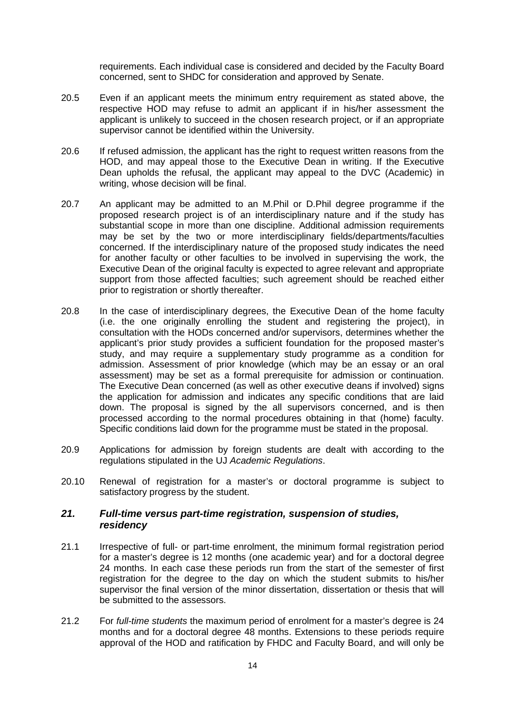requirements. Each individual case is considered and decided by the Faculty Board concerned, sent to SHDC for consideration and approved by Senate.

- 20.5 Even if an applicant meets the minimum entry requirement as stated above, the respective HOD may refuse to admit an applicant if in his/her assessment the applicant is unlikely to succeed in the chosen research project, or if an appropriate supervisor cannot be identified within the University.
- 20.6 If refused admission, the applicant has the right to request written reasons from the HOD, and may appeal those to the Executive Dean in writing. If the Executive Dean upholds the refusal, the applicant may appeal to the DVC (Academic) in writing, whose decision will be final.
- 20.7 An applicant may be admitted to an M.Phil or D.Phil degree programme if the proposed research project is of an interdisciplinary nature and if the study has substantial scope in more than one discipline. Additional admission requirements may be set by the two or more interdisciplinary fields/departments/faculties concerned. If the interdisciplinary nature of the proposed study indicates the need for another faculty or other faculties to be involved in supervising the work, the Executive Dean of the original faculty is expected to agree relevant and appropriate support from those affected faculties; such agreement should be reached either prior to registration or shortly thereafter.
- 20.8 In the case of interdisciplinary degrees, the Executive Dean of the home faculty (i.e. the one originally enrolling the student and registering the project), in consultation with the HODs concerned and/or supervisors, determines whether the applicant's prior study provides a sufficient foundation for the proposed master's study, and may require a supplementary study programme as a condition for admission. Assessment of prior knowledge (which may be an essay or an oral assessment) may be set as a formal prerequisite for admission or continuation. The Executive Dean concerned (as well as other executive deans if involved) signs the application for admission and indicates any specific conditions that are laid down. The proposal is signed by the all supervisors concerned, and is then processed according to the normal procedures obtaining in that (home) faculty. Specific conditions laid down for the programme must be stated in the proposal.
- 20.9 Applications for admission by foreign students are dealt with according to the regulations stipulated in the UJ *Academic Regulations*.
- 20.10 Renewal of registration for a master's or doctoral programme is subject to satisfactory progress by the student.

### *21. Full-time versus part-time registration, suspension of studies, residency*

- 21.1 Irrespective of full- or part-time enrolment, the minimum formal registration period for a master's degree is 12 months (one academic year) and for a doctoral degree 24 months. In each case these periods run from the start of the semester of first registration for the degree to the day on which the student submits to his/her supervisor the final version of the minor dissertation, dissertation or thesis that will be submitted to the assessors.
- 21.2 For *full-time students* the maximum period of enrolment for a master's degree is 24 months and for a doctoral degree 48 months. Extensions to these periods require approval of the HOD and ratification by FHDC and Faculty Board, and will only be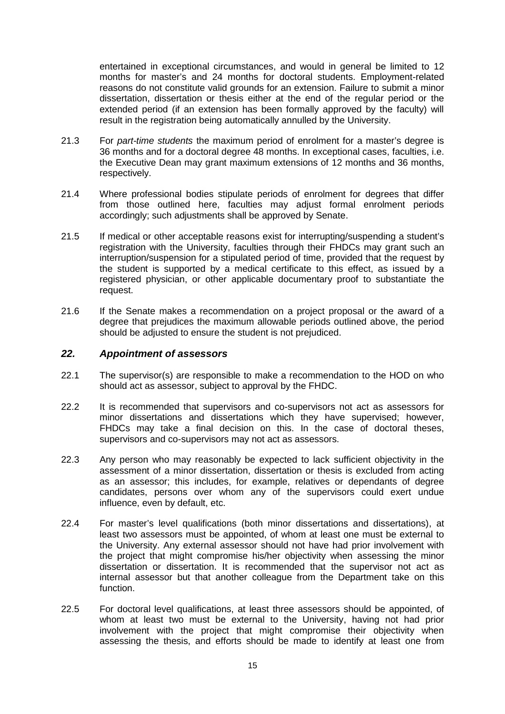entertained in exceptional circumstances, and would in general be limited to 12 months for master's and 24 months for doctoral students. Employment-related reasons do not constitute valid grounds for an extension. Failure to submit a minor dissertation, dissertation or thesis either at the end of the regular period or the extended period (if an extension has been formally approved by the faculty) will result in the registration being automatically annulled by the University.

- 21.3 For *part-time students* the maximum period of enrolment for a master's degree is 36 months and for a doctoral degree 48 months. In exceptional cases, faculties, i.e. the Executive Dean may grant maximum extensions of 12 months and 36 months, respectively.
- 21.4 Where professional bodies stipulate periods of enrolment for degrees that differ from those outlined here, faculties may adjust formal enrolment periods accordingly; such adjustments shall be approved by Senate.
- 21.5 If medical or other acceptable reasons exist for interrupting/suspending a student's registration with the University, faculties through their FHDCs may grant such an interruption/suspension for a stipulated period of time, provided that the request by the student is supported by a medical certificate to this effect, as issued by a registered physician, or other applicable documentary proof to substantiate the request.
- 21.6 If the Senate makes a recommendation on a project proposal or the award of a degree that prejudices the maximum allowable periods outlined above, the period should be adjusted to ensure the student is not prejudiced.

### *22. Appointment of assessors*

- 22.1 The supervisor(s) are responsible to make a recommendation to the HOD on who should act as assessor, subject to approval by the FHDC.
- 22.2 It is recommended that supervisors and co-supervisors not act as assessors for minor dissertations and dissertations which they have supervised; however, FHDCs may take a final decision on this. In the case of doctoral theses, supervisors and co-supervisors may not act as assessors.
- 22.3 Any person who may reasonably be expected to lack sufficient objectivity in the assessment of a minor dissertation, dissertation or thesis is excluded from acting as an assessor; this includes, for example, relatives or dependants of degree candidates, persons over whom any of the supervisors could exert undue influence, even by default, etc.
- 22.4 For master's level qualifications (both minor dissertations and dissertations), at least two assessors must be appointed, of whom at least one must be external to the University. Any external assessor should not have had prior involvement with the project that might compromise his/her objectivity when assessing the minor dissertation or dissertation. It is recommended that the supervisor not act as internal assessor but that another colleague from the Department take on this function.
- 22.5 For doctoral level qualifications, at least three assessors should be appointed, of whom at least two must be external to the University, having not had prior involvement with the project that might compromise their objectivity when assessing the thesis, and efforts should be made to identify at least one from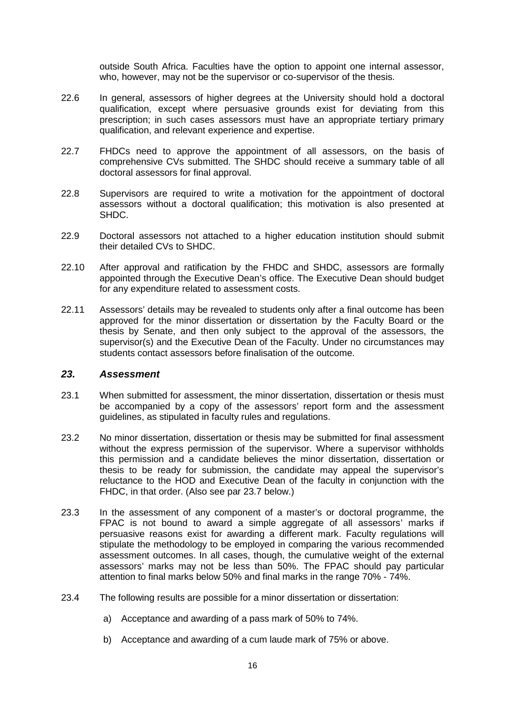outside South Africa. Faculties have the option to appoint one internal assessor, who, however, may not be the supervisor or co-supervisor of the thesis.

- 22.6 In general, assessors of higher degrees at the University should hold a doctoral qualification, except where persuasive grounds exist for deviating from this prescription; in such cases assessors must have an appropriate tertiary primary qualification, and relevant experience and expertise.
- 22.7 FHDCs need to approve the appointment of all assessors, on the basis of comprehensive CVs submitted. The SHDC should receive a summary table of all doctoral assessors for final approval.
- 22.8 Supervisors are required to write a motivation for the appointment of doctoral assessors without a doctoral qualification; this motivation is also presented at SHDC.
- 22.9 Doctoral assessors not attached to a higher education institution should submit their detailed CVs to SHDC.
- 22.10 After approval and ratification by the FHDC and SHDC, assessors are formally appointed through the Executive Dean's office. The Executive Dean should budget for any expenditure related to assessment costs.
- 22.11 Assessors' details may be revealed to students only after a final outcome has been approved for the minor dissertation or dissertation by the Faculty Board or the thesis by Senate, and then only subject to the approval of the assessors, the supervisor(s) and the Executive Dean of the Faculty. Under no circumstances may students contact assessors before finalisation of the outcome.

#### *23. Assessment*

- 23.1 When submitted for assessment, the minor dissertation, dissertation or thesis must be accompanied by a copy of the assessors' report form and the assessment guidelines, as stipulated in faculty rules and regulations.
- 23.2 No minor dissertation, dissertation or thesis may be submitted for final assessment without the express permission of the supervisor. Where a supervisor withholds this permission and a candidate believes the minor dissertation, dissertation or thesis to be ready for submission, the candidate may appeal the supervisor's reluctance to the HOD and Executive Dean of the faculty in conjunction with the FHDC, in that order. (Also see par 23.7 below.)
- 23.3 In the assessment of any component of a master's or doctoral programme, the FPAC is not bound to award a simple aggregate of all assessors' marks if persuasive reasons exist for awarding a different mark. Faculty regulations will stipulate the methodology to be employed in comparing the various recommended assessment outcomes. In all cases, though, the cumulative weight of the external assessors' marks may not be less than 50%. The FPAC should pay particular attention to final marks below 50% and final marks in the range 70% - 74%.
- 23.4 The following results are possible for a minor dissertation or dissertation:
	- a) Acceptance and awarding of a pass mark of 50% to 74%.
	- b) Acceptance and awarding of a cum laude mark of 75% or above.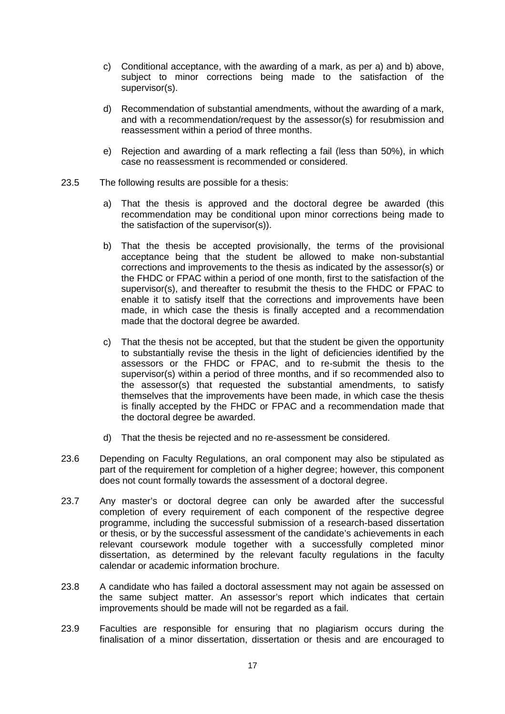- c) Conditional acceptance, with the awarding of a mark, as per a) and b) above, subject to minor corrections being made to the satisfaction of the supervisor(s).
- d) Recommendation of substantial amendments, without the awarding of a mark, and with a recommendation/request by the assessor(s) for resubmission and reassessment within a period of three months.
- e) Rejection and awarding of a mark reflecting a fail (less than 50%), in which case no reassessment is recommended or considered.
- 23.5 The following results are possible for a thesis:
	- a) That the thesis is approved and the doctoral degree be awarded (this recommendation may be conditional upon minor corrections being made to the satisfaction of the supervisor(s)).
	- b) That the thesis be accepted provisionally, the terms of the provisional acceptance being that the student be allowed to make non-substantial corrections and improvements to the thesis as indicated by the assessor(s) or the FHDC or FPAC within a period of one month, first to the satisfaction of the supervisor(s), and thereafter to resubmit the thesis to the FHDC or FPAC to enable it to satisfy itself that the corrections and improvements have been made, in which case the thesis is finally accepted and a recommendation made that the doctoral degree be awarded.
	- c) That the thesis not be accepted, but that the student be given the opportunity to substantially revise the thesis in the light of deficiencies identified by the assessors or the FHDC or FPAC, and to re-submit the thesis to the supervisor(s) within a period of three months, and if so recommended also to the assessor(s) that requested the substantial amendments, to satisfy themselves that the improvements have been made, in which case the thesis is finally accepted by the FHDC or FPAC and a recommendation made that the doctoral degree be awarded.
	- d) That the thesis be rejected and no re-assessment be considered.
- 23.6 Depending on Faculty Regulations, an oral component may also be stipulated as part of the requirement for completion of a higher degree; however, this component does not count formally towards the assessment of a doctoral degree.
- 23.7 Any master's or doctoral degree can only be awarded after the successful completion of every requirement of each component of the respective degree programme, including the successful submission of a research-based dissertation or thesis, or by the successful assessment of the candidate's achievements in each relevant coursework module together with a successfully completed minor dissertation, as determined by the relevant faculty regulations in the faculty calendar or academic information brochure.
- 23.8 A candidate who has failed a doctoral assessment may not again be assessed on the same subject matter. An assessor's report which indicates that certain improvements should be made will not be regarded as a fail.
- 23.9 Faculties are responsible for ensuring that no plagiarism occurs during the finalisation of a minor dissertation, dissertation or thesis and are encouraged to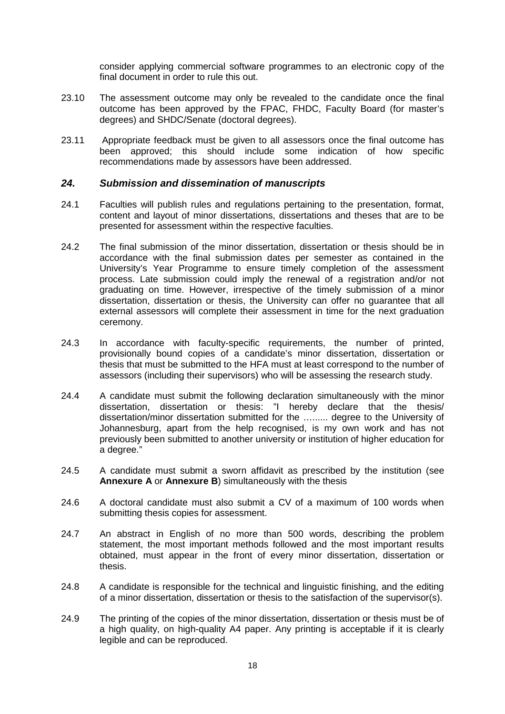consider applying commercial software programmes to an electronic copy of the final document in order to rule this out.

- 23.10 The assessment outcome may only be revealed to the candidate once the final outcome has been approved by the FPAC, FHDC, Faculty Board (for master's degrees) and SHDC/Senate (doctoral degrees).
- 23.11 Appropriate feedback must be given to all assessors once the final outcome has been approved; this should include some indication of how specific recommendations made by assessors have been addressed.

### *24. Submission and dissemination of manuscripts*

- 24.1 Faculties will publish rules and regulations pertaining to the presentation, format, content and layout of minor dissertations, dissertations and theses that are to be presented for assessment within the respective faculties.
- 24.2 The final submission of the minor dissertation, dissertation or thesis should be in accordance with the final submission dates per semester as contained in the University's Year Programme to ensure timely completion of the assessment process. Late submission could imply the renewal of a registration and/or not graduating on time. However, irrespective of the timely submission of a minor dissertation, dissertation or thesis, the University can offer no guarantee that all external assessors will complete their assessment in time for the next graduation ceremony.
- 24.3 In accordance with faculty-specific requirements, the number of printed, provisionally bound copies of a candidate's minor dissertation, dissertation or thesis that must be submitted to the HFA must at least correspond to the number of assessors (including their supervisors) who will be assessing the research study.
- 24.4 A candidate must submit the following declaration simultaneously with the minor dissertation, dissertation or thesis: "I hereby declare that the thesis/ dissertation/minor dissertation submitted for the …...... degree to the University of Johannesburg, apart from the help recognised, is my own work and has not previously been submitted to another university or institution of higher education for a degree."
- 24.5 A candidate must submit a sworn affidavit as prescribed by the institution (see **Annexure A** or **Annexure B**) simultaneously with the thesis
- 24.6 A doctoral candidate must also submit a CV of a maximum of 100 words when submitting thesis copies for assessment.
- 24.7 An abstract in English of no more than 500 words, describing the problem statement, the most important methods followed and the most important results obtained, must appear in the front of every minor dissertation, dissertation or thesis.
- 24.8 A candidate is responsible for the technical and linguistic finishing, and the editing of a minor dissertation, dissertation or thesis to the satisfaction of the supervisor(s).
- 24.9 The printing of the copies of the minor dissertation, dissertation or thesis must be of a high quality, on high-quality A4 paper. Any printing is acceptable if it is clearly legible and can be reproduced.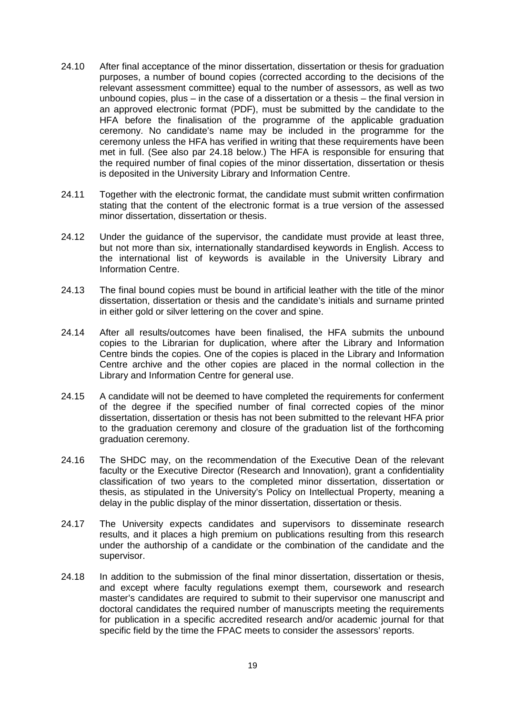- 24.10 After final acceptance of the minor dissertation, dissertation or thesis for graduation purposes, a number of bound copies (corrected according to the decisions of the relevant assessment committee) equal to the number of assessors, as well as two unbound copies, plus – in the case of a dissertation or a thesis – the final version in an approved electronic format (PDF), must be submitted by the candidate to the HFA before the finalisation of the programme of the applicable graduation ceremony. No candidate's name may be included in the programme for the ceremony unless the HFA has verified in writing that these requirements have been met in full. (See also par 24.18 below.) The HFA is responsible for ensuring that the required number of final copies of the minor dissertation, dissertation or thesis is deposited in the University Library and Information Centre.
- 24.11 Together with the electronic format, the candidate must submit written confirmation stating that the content of the electronic format is a true version of the assessed minor dissertation, dissertation or thesis.
- 24.12 Under the guidance of the supervisor, the candidate must provide at least three, but not more than six, internationally standardised keywords in English. Access to the international list of keywords is available in the University Library and Information Centre.
- 24.13 The final bound copies must be bound in artificial leather with the title of the minor dissertation, dissertation or thesis and the candidate's initials and surname printed in either gold or silver lettering on the cover and spine.
- 24.14 After all results/outcomes have been finalised, the HFA submits the unbound copies to the Librarian for duplication, where after the Library and Information Centre binds the copies. One of the copies is placed in the Library and Information Centre archive and the other copies are placed in the normal collection in the Library and Information Centre for general use.
- 24.15 A candidate will not be deemed to have completed the requirements for conferment of the degree if the specified number of final corrected copies of the minor dissertation, dissertation or thesis has not been submitted to the relevant HFA prior to the graduation ceremony and closure of the graduation list of the forthcoming graduation ceremony.
- 24.16 The SHDC may, on the recommendation of the Executive Dean of the relevant faculty or the Executive Director (Research and Innovation), grant a confidentiality classification of two years to the completed minor dissertation, dissertation or thesis, as stipulated in the University's Policy on Intellectual Property, meaning a delay in the public display of the minor dissertation, dissertation or thesis.
- 24.17 The University expects candidates and supervisors to disseminate research results, and it places a high premium on publications resulting from this research under the authorship of a candidate or the combination of the candidate and the supervisor.
- 24.18 In addition to the submission of the final minor dissertation, dissertation or thesis, and except where faculty regulations exempt them, coursework and research master's candidates are required to submit to their supervisor one manuscript and doctoral candidates the required number of manuscripts meeting the requirements for publication in a specific accredited research and/or academic journal for that specific field by the time the FPAC meets to consider the assessors' reports.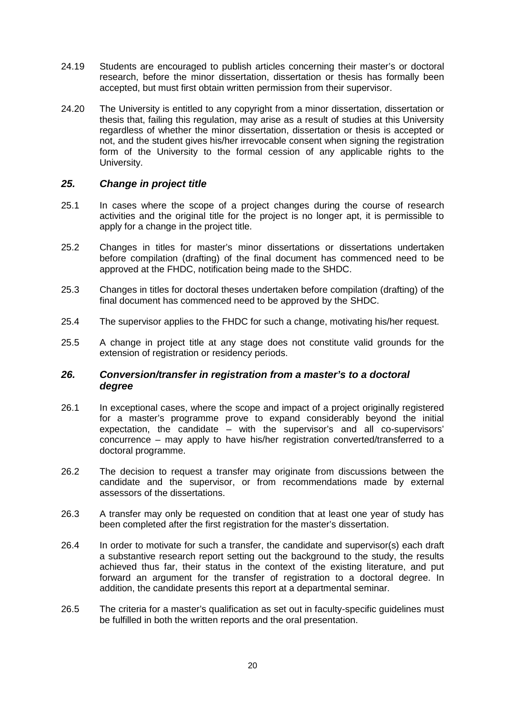- 24.19 Students are encouraged to publish articles concerning their master's or doctoral research, before the minor dissertation, dissertation or thesis has formally been accepted, but must first obtain written permission from their supervisor.
- 24.20 The University is entitled to any copyright from a minor dissertation, dissertation or thesis that, failing this regulation, may arise as a result of studies at this University regardless of whether the minor dissertation, dissertation or thesis is accepted or not, and the student gives his/her irrevocable consent when signing the registration form of the University to the formal cession of any applicable rights to the University.

### *25. Change in project title*

- 25.1 In cases where the scope of a project changes during the course of research activities and the original title for the project is no longer apt, it is permissible to apply for a change in the project title.
- 25.2 Changes in titles for master's minor dissertations or dissertations undertaken before compilation (drafting) of the final document has commenced need to be approved at the FHDC, notification being made to the SHDC.
- 25.3 Changes in titles for doctoral theses undertaken before compilation (drafting) of the final document has commenced need to be approved by the SHDC.
- 25.4 The supervisor applies to the FHDC for such a change, motivating his/her request.
- 25.5 A change in project title at any stage does not constitute valid grounds for the extension of registration or residency periods.

### *26. Conversion/transfer in registration from a master's to a doctoral degree*

- 26.1 In exceptional cases, where the scope and impact of a project originally registered for a master's programme prove to expand considerably beyond the initial expectation, the candidate – with the supervisor's and all co-supervisors' concurrence – may apply to have his/her registration converted/transferred to a doctoral programme.
- 26.2 The decision to request a transfer may originate from discussions between the candidate and the supervisor, or from recommendations made by external assessors of the dissertations.
- 26.3 A transfer may only be requested on condition that at least one year of study has been completed after the first registration for the master's dissertation.
- 26.4 In order to motivate for such a transfer, the candidate and supervisor(s) each draft a substantive research report setting out the background to the study, the results achieved thus far, their status in the context of the existing literature, and put forward an argument for the transfer of registration to a doctoral degree. In addition, the candidate presents this report at a departmental seminar.
- 26.5 The criteria for a master's qualification as set out in faculty-specific guidelines must be fulfilled in both the written reports and the oral presentation.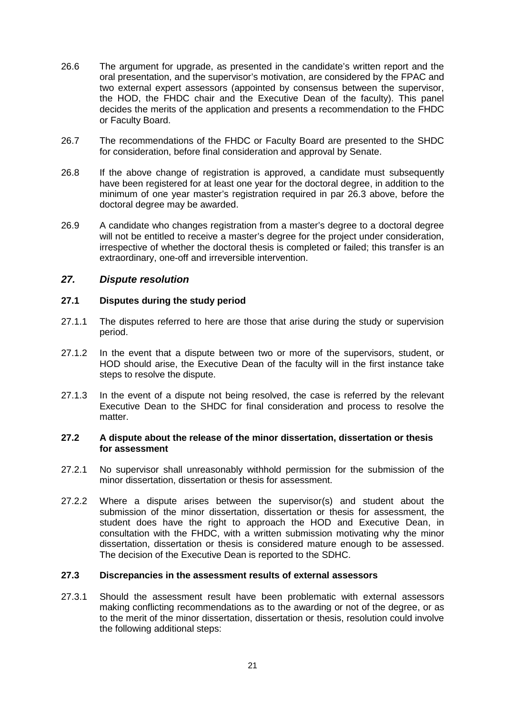- 26.6 The argument for upgrade, as presented in the candidate's written report and the oral presentation, and the supervisor's motivation, are considered by the FPAC and two external expert assessors (appointed by consensus between the supervisor, the HOD, the FHDC chair and the Executive Dean of the faculty). This panel decides the merits of the application and presents a recommendation to the FHDC or Faculty Board.
- 26.7 The recommendations of the FHDC or Faculty Board are presented to the SHDC for consideration, before final consideration and approval by Senate.
- 26.8 If the above change of registration is approved, a candidate must subsequently have been registered for at least one year for the doctoral degree, in addition to the minimum of one year master's registration required in par 26.3 above, before the doctoral degree may be awarded.
- 26.9 A candidate who changes registration from a master's degree to a doctoral degree will not be entitled to receive a master's degree for the project under consideration, irrespective of whether the doctoral thesis is completed or failed; this transfer is an extraordinary, one-off and irreversible intervention.

### *27. Dispute resolution*

### **27.1 Disputes during the study period**

- 27.1.1 The disputes referred to here are those that arise during the study or supervision period.
- 27.1.2 In the event that a dispute between two or more of the supervisors, student, or HOD should arise, the Executive Dean of the faculty will in the first instance take steps to resolve the dispute.
- 27.1.3 In the event of a dispute not being resolved, the case is referred by the relevant Executive Dean to the SHDC for final consideration and process to resolve the matter.

#### **27.2 A dispute about the release of the minor dissertation, dissertation or thesis for assessment**

- 27.2.1 No supervisor shall unreasonably withhold permission for the submission of the minor dissertation, dissertation or thesis for assessment.
- 27.2.2 Where a dispute arises between the supervisor(s) and student about the submission of the minor dissertation, dissertation or thesis for assessment, the student does have the right to approach the HOD and Executive Dean, in consultation with the FHDC, with a written submission motivating why the minor dissertation, dissertation or thesis is considered mature enough to be assessed. The decision of the Executive Dean is reported to the SDHC.

### **27.3 Discrepancies in the assessment results of external assessors**

27.3.1 Should the assessment result have been problematic with external assessors making conflicting recommendations as to the awarding or not of the degree, or as to the merit of the minor dissertation, dissertation or thesis, resolution could involve the following additional steps: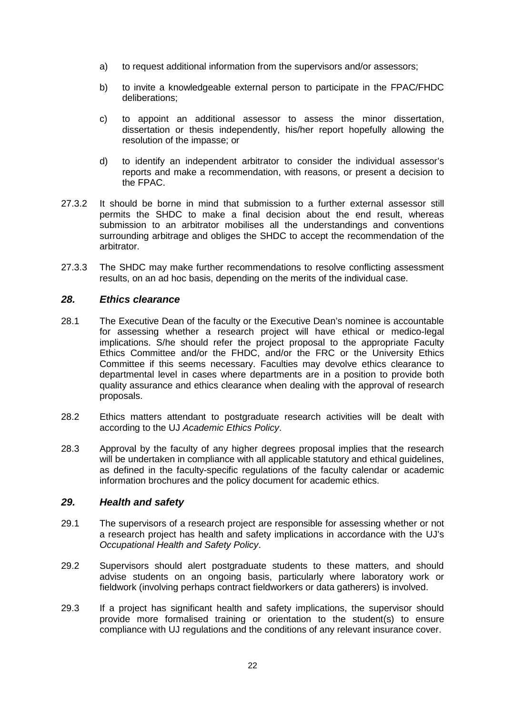- a) to request additional information from the supervisors and/or assessors;
- b) to invite a knowledgeable external person to participate in the FPAC/FHDC deliberations;
- c) to appoint an additional assessor to assess the minor dissertation, dissertation or thesis independently, his/her report hopefully allowing the resolution of the impasse; or
- d) to identify an independent arbitrator to consider the individual assessor's reports and make a recommendation, with reasons, or present a decision to the FPAC.
- 27.3.2 It should be borne in mind that submission to a further external assessor still permits the SHDC to make a final decision about the end result, whereas submission to an arbitrator mobilises all the understandings and conventions surrounding arbitrage and obliges the SHDC to accept the recommendation of the arbitrator.
- 27.3.3 The SHDC may make further recommendations to resolve conflicting assessment results, on an ad hoc basis, depending on the merits of the individual case.

### *28. Ethics clearance*

- 28.1 The Executive Dean of the faculty or the Executive Dean's nominee is accountable for assessing whether a research project will have ethical or medico-legal implications. S/he should refer the project proposal to the appropriate Faculty Ethics Committee and/or the FHDC, and/or the FRC or the University Ethics Committee if this seems necessary. Faculties may devolve ethics clearance to departmental level in cases where departments are in a position to provide both quality assurance and ethics clearance when dealing with the approval of research proposals.
- 28.2 Ethics matters attendant to postgraduate research activities will be dealt with according to the UJ *Academic Ethics Policy*.
- 28.3 Approval by the faculty of any higher degrees proposal implies that the research will be undertaken in compliance with all applicable statutory and ethical guidelines, as defined in the faculty-specific regulations of the faculty calendar or academic information brochures and the policy document for academic ethics.

### *29. Health and safety*

- 29.1 The supervisors of a research project are responsible for assessing whether or not a research project has health and safety implications in accordance with the UJ's *Occupational Health and Safety Policy*.
- 29.2 Supervisors should alert postgraduate students to these matters, and should advise students on an ongoing basis, particularly where laboratory work or fieldwork (involving perhaps contract fieldworkers or data gatherers) is involved.
- 29.3 If a project has significant health and safety implications, the supervisor should provide more formalised training or orientation to the student(s) to ensure compliance with UJ regulations and the conditions of any relevant insurance cover.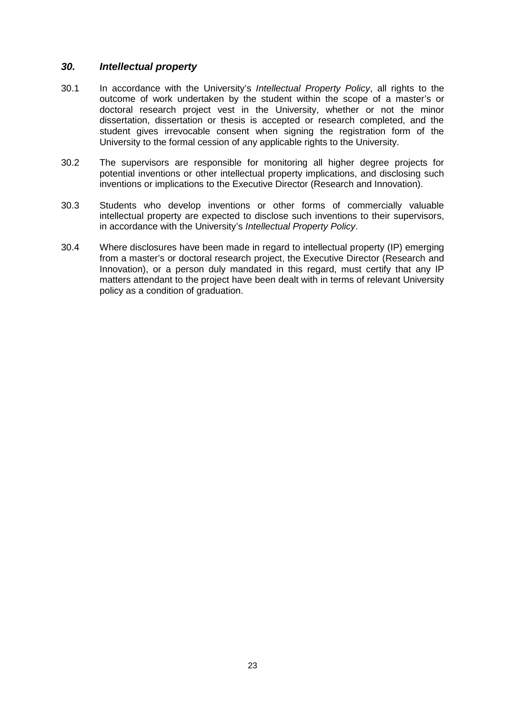### *30. Intellectual property*

- 30.1 In accordance with the University's *Intellectual Property Policy*, all rights to the outcome of work undertaken by the student within the scope of a master's or doctoral research project vest in the University, whether or not the minor dissertation, dissertation or thesis is accepted or research completed, and the student gives irrevocable consent when signing the registration form of the University to the formal cession of any applicable rights to the University.
- 30.2 The supervisors are responsible for monitoring all higher degree projects for potential inventions or other intellectual property implications, and disclosing such inventions or implications to the Executive Director (Research and Innovation).
- 30.3 Students who develop inventions or other forms of commercially valuable intellectual property are expected to disclose such inventions to their supervisors, in accordance with the University's *Intellectual Property Policy*.
- 30.4 Where disclosures have been made in regard to intellectual property (IP) emerging from a master's or doctoral research project, the Executive Director (Research and Innovation), or a person duly mandated in this regard, must certify that any IP matters attendant to the project have been dealt with in terms of relevant University policy as a condition of graduation.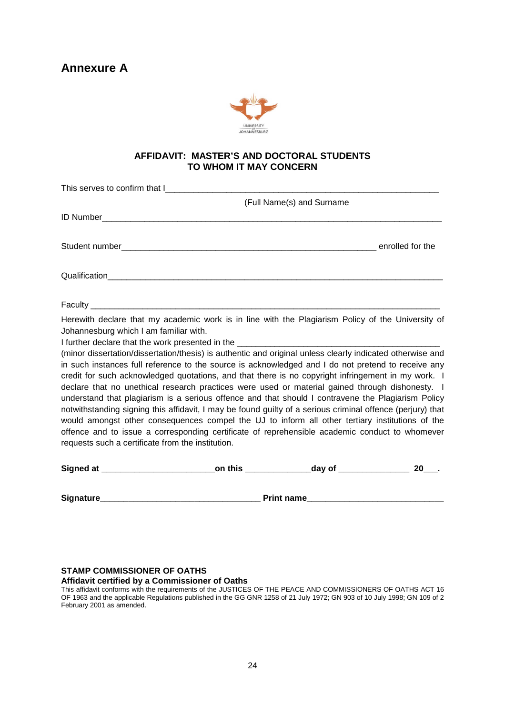

### **AFFIDAVIT: MASTER'S AND DOCTORAL STUDENTS TO WHOM IT MAY CONCERN**

|                                                                                                                                                                                                                                                                                                                                                                                                                                                                                                                                                                                                                                                                                                                                                                                                                                                                                                                                                                                                                                                                                                                             | (Full Name(s) and Surname |      |
|-----------------------------------------------------------------------------------------------------------------------------------------------------------------------------------------------------------------------------------------------------------------------------------------------------------------------------------------------------------------------------------------------------------------------------------------------------------------------------------------------------------------------------------------------------------------------------------------------------------------------------------------------------------------------------------------------------------------------------------------------------------------------------------------------------------------------------------------------------------------------------------------------------------------------------------------------------------------------------------------------------------------------------------------------------------------------------------------------------------------------------|---------------------------|------|
|                                                                                                                                                                                                                                                                                                                                                                                                                                                                                                                                                                                                                                                                                                                                                                                                                                                                                                                                                                                                                                                                                                                             |                           |      |
|                                                                                                                                                                                                                                                                                                                                                                                                                                                                                                                                                                                                                                                                                                                                                                                                                                                                                                                                                                                                                                                                                                                             |                           |      |
|                                                                                                                                                                                                                                                                                                                                                                                                                                                                                                                                                                                                                                                                                                                                                                                                                                                                                                                                                                                                                                                                                                                             |                           |      |
|                                                                                                                                                                                                                                                                                                                                                                                                                                                                                                                                                                                                                                                                                                                                                                                                                                                                                                                                                                                                                                                                                                                             |                           |      |
| Herewith declare that my academic work is in line with the Plagiarism Policy of the University of<br>Johannesburg which I am familiar with.<br>I further declare that the work presented in the _________________<br>(minor dissertation/dissertation/thesis) is authentic and original unless clearly indicated otherwise and<br>in such instances full reference to the source is acknowledged and I do not pretend to receive any<br>credit for such acknowledged quotations, and that there is no copyright infringement in my work. I<br>declare that no unethical research practices were used or material gained through dishonesty. I<br>understand that plagiarism is a serious offence and that should I contravene the Plagiarism Policy<br>notwithstanding signing this affidavit, I may be found guilty of a serious criminal offence (perjury) that<br>would amongst other consequences compel the UJ to inform all other tertiary institutions of the<br>offence and to issue a corresponding certificate of reprehensible academic conduct to whomever<br>requests such a certificate from the institution. |                           |      |
|                                                                                                                                                                                                                                                                                                                                                                                                                                                                                                                                                                                                                                                                                                                                                                                                                                                                                                                                                                                                                                                                                                                             |                           | 20 . |
|                                                                                                                                                                                                                                                                                                                                                                                                                                                                                                                                                                                                                                                                                                                                                                                                                                                                                                                                                                                                                                                                                                                             |                           |      |

#### **STAMP COMMISSIONER OF OATHS**

#### **Affidavit certified by a Commissioner of Oaths**

This affidavit conforms with the requirements of the JUSTICES OF THE PEACE AND COMMISSIONERS OF OATHS ACT 16 OF 1963 and the applicable Regulations published in the GG GNR 1258 of 21 July 1972; GN 903 of 10 July 1998; GN 109 of 2 February 2001 as amended.

**Signature\_\_\_\_\_\_\_\_\_\_\_\_\_\_\_\_\_\_\_\_\_\_\_\_\_\_\_\_\_\_\_\_\_\_ Print name\_\_\_\_\_\_\_\_\_\_\_\_\_\_\_\_\_\_\_\_\_\_\_\_\_\_\_\_\_**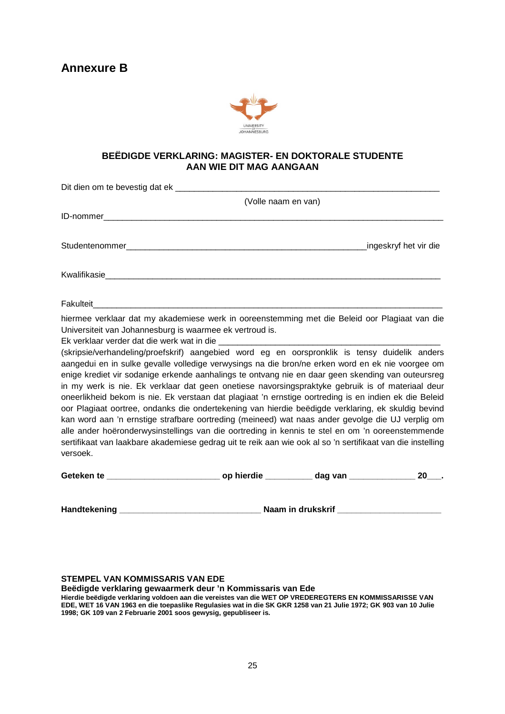### **Annexure B**



### **BEËDIGDE VERKLARING: MAGISTER- EN DOKTORALE STUDENTE AAN WIE DIT MAG AANGAAN**

|                                                                                                                                                                                                                                                                                                                                                                                                                                                                                                                                                                                                                                                                                                                                                                                                                                                                                                                                                                                                                                                                                                                          | (Volle naam en van) |                       |
|--------------------------------------------------------------------------------------------------------------------------------------------------------------------------------------------------------------------------------------------------------------------------------------------------------------------------------------------------------------------------------------------------------------------------------------------------------------------------------------------------------------------------------------------------------------------------------------------------------------------------------------------------------------------------------------------------------------------------------------------------------------------------------------------------------------------------------------------------------------------------------------------------------------------------------------------------------------------------------------------------------------------------------------------------------------------------------------------------------------------------|---------------------|-----------------------|
|                                                                                                                                                                                                                                                                                                                                                                                                                                                                                                                                                                                                                                                                                                                                                                                                                                                                                                                                                                                                                                                                                                                          |                     |                       |
|                                                                                                                                                                                                                                                                                                                                                                                                                                                                                                                                                                                                                                                                                                                                                                                                                                                                                                                                                                                                                                                                                                                          |                     | ingeskryf het vir die |
|                                                                                                                                                                                                                                                                                                                                                                                                                                                                                                                                                                                                                                                                                                                                                                                                                                                                                                                                                                                                                                                                                                                          |                     |                       |
|                                                                                                                                                                                                                                                                                                                                                                                                                                                                                                                                                                                                                                                                                                                                                                                                                                                                                                                                                                                                                                                                                                                          |                     |                       |
| hiermee verklaar dat my akademiese werk in ooreenstemming met die Beleid oor Plagiaat van die<br>Universiteit van Johannesburg is waarmee ek vertroud is.<br>(skripsie/verhandeling/proefskrif) aangebied word eg en oorspronklik is tensy duidelik anders<br>aangedui en in sulke gevalle volledige verwysings na die bron/ne erken word en ek nie voorgee om<br>enige krediet vir sodanige erkende aanhalings te ontvang nie en daar geen skending van outeursreg<br>in my werk is nie. Ek verklaar dat geen onetiese navorsingspraktyke gebruik is of materiaal deur<br>oneerlikheid bekom is nie. Ek verstaan dat plagiaat 'n ernstige oortreding is en indien ek die Beleid<br>oor Plagiaat oortree, ondanks die ondertekening van hierdie beëdigde verklaring, ek skuldig bevind<br>kan word aan 'n ernstige strafbare oortreding (meineed) wat naas ander gevolge die UJ verplig om<br>alle ander hoëronderwysinstellings van die oortreding in kennis te stel en om 'n ooreenstemmende<br>sertifikaat van laakbare akademiese gedrag uit te reik aan wie ook al so 'n sertifikaat van die instelling<br>versoek. |                     |                       |
|                                                                                                                                                                                                                                                                                                                                                                                                                                                                                                                                                                                                                                                                                                                                                                                                                                                                                                                                                                                                                                                                                                                          |                     | 20 .                  |

**Handtekening \_\_\_\_\_\_\_\_\_\_\_\_\_\_\_\_\_\_\_\_\_\_\_\_\_\_\_\_\_\_ Naam in drukskrif \_\_\_\_\_\_\_\_\_\_\_\_\_\_\_\_\_\_\_\_\_\_**

#### **STEMPEL VAN KOMMISSARIS VAN EDE**

**Beëdigde verklaring gewaarmerk deur 'n Kommissaris van Ede**

**Hierdie beëdigde verklaring voldoen aan die vereistes van die WET OP VREDEREGTERS EN KOMMISSARISSE VAN EDE, WET 16 VAN 1963 en die toepaslike Regulasies wat in die SK GKR 1258 van 21 Julie 1972; GK 903 van 10 Julie 1998; GK 109 van 2 Februarie 2001 soos gewysig, gepubliseer is.**